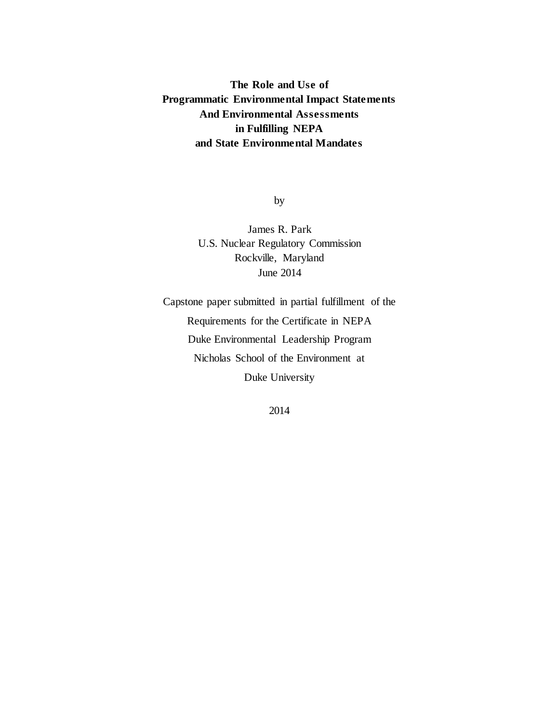# **The Role and Use of Programmatic Environmental Impact Statements And Environmental Assessments in Fulfilling NEPA and State Environmental Mandates**

by

James R. Park U.S. Nuclear Regulatory Commission Rockville, Maryland June 2014

Capstone paper submitted in partial fulfillment of the Requirements for the Certificate in NEPA Duke Environmental Leadership Program Nicholas School of the Environment at Duke University

2014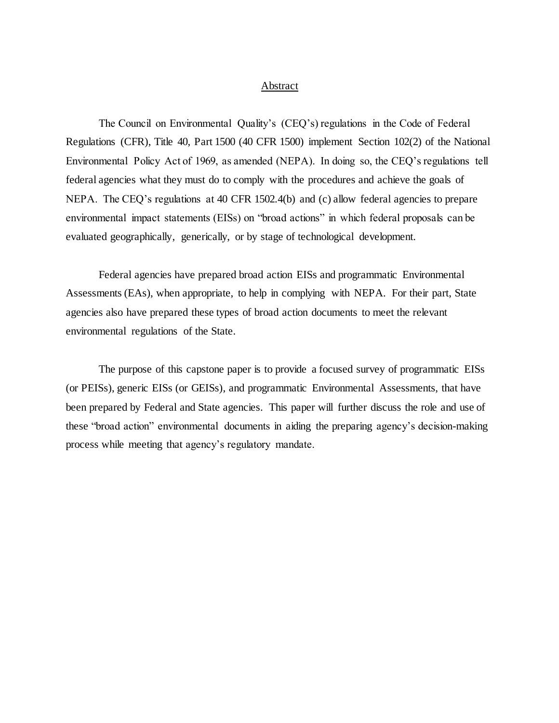# Abstract

The Council on Environmental Quality's (CEQ's) regulations in the Code of Federal Regulations (CFR), Title 40, Part 1500 (40 CFR 1500) implement Section 102(2) of the National Environmental Policy Act of 1969, as amended (NEPA). In doing so, the CEQ's regulations tell federal agencies what they must do to comply with the procedures and achieve the goals of NEPA. The CEQ's regulations at 40 CFR 1502.4(b) and (c) allow federal agencies to prepare environmental impact statements (EISs) on "broad actions" in which federal proposals can be evaluated geographically, generically, or by stage of technological development.

Federal agencies have prepared broad action EISs and programmatic Environmental Assessments (EAs), when appropriate, to help in complying with NEPA. For their part, State agencies also have prepared these types of broad action documents to meet the relevant environmental regulations of the State.

The purpose of this capstone paper is to provide a focused survey of programmatic EISs (or PEISs), generic EISs (or GEISs), and programmatic Environmental Assessments, that have been prepared by Federal and State agencies. This paper will further discuss the role and use of these "broad action" environmental documents in aiding the preparing agency's decision-making process while meeting that agency's regulatory mandate.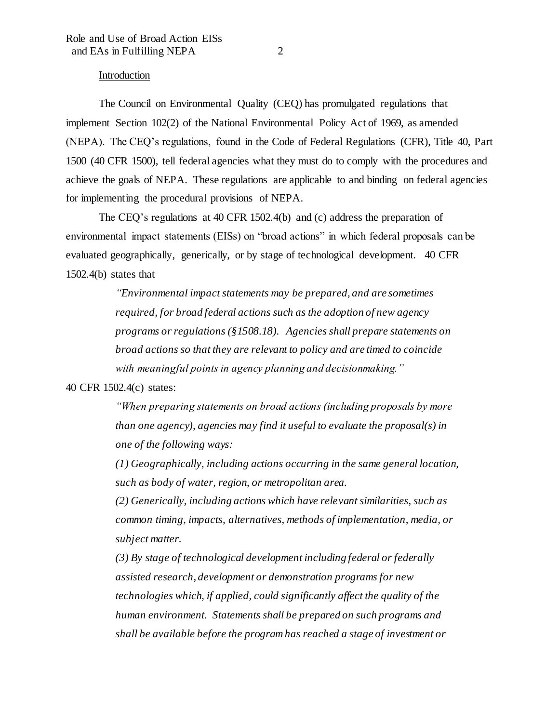# Introduction

The Council on Environmental Quality (CEQ) has promulgated regulations that implement Section 102(2) of the National Environmental Policy Act of 1969, as amended (NEPA). The CEQ's regulations, found in the Code of Federal Regulations (CFR), Title 40, Part 1500 (40 CFR 1500), tell federal agencies what they must do to comply with the procedures and achieve the goals of NEPA. These regulations are applicable to and binding on federal agencies for implementing the procedural provisions of NEPA.

The CEQ's regulations at 40 CFR 1502.4(b) and (c) address the preparation of environmental impact statements (EISs) on "broad actions" in which federal proposals can be evaluated geographically, generically, or by stage of technological development. 40 CFR  $1502.4(b)$  states that

> *"Environmental impact statements may be prepared, and are sometimes required, for broad federal actions such as the adoption of new agency programs or regulations (§1508.18). Agencies shall prepare statements on broad actions so that they are relevant to policy and are timed to coincide with meaningful points in agency planning and decisionmaking."*

### 40 CFR 1502.4(c) states:

*"When preparing statements on broad actions (including proposals by more than one agency), agencies may find it useful to evaluate the proposal(s) in one of the following ways:*

*(1) Geographically, including actions occurring in the same general location, such as body of water, region, or metropolitan area.*

*(2) Generically, including actions which have relevant similarities, such as common timing, impacts, alternatives, methods of implementation, media, or subject matter.*

*(3) By stage of technological development including federal or federally assisted research, development or demonstration programs for new technologies which, if applied, could significantly affect the quality of the human environment. Statements shall be prepared on such programs and shall be available before the program has reached a stage of investment or*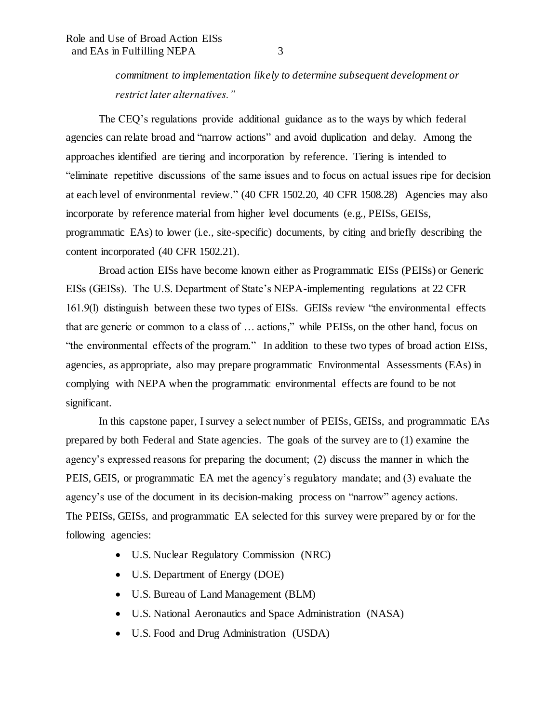*commitment to implementation likely to determine subsequent development or restrict later alternatives."*

The CEQ's regulations provide additional guidance as to the ways by which federal agencies can relate broad and "narrow actions" and avoid duplication and delay. Among the approaches identified are tiering and incorporation by reference. Tiering is intended to "eliminate repetitive discussions of the same issues and to focus on actual issues ripe for decision at each level of environmental review." (40 CFR 1502.20, 40 CFR 1508.28) Agencies may also incorporate by reference material from higher level documents (e.g., PEISs, GEISs, programmatic EAs) to lower (i.e., site-specific) documents, by citing and briefly describing the content incorporated (40 CFR 1502.21).

Broad action EISs have become known either as Programmatic EISs (PEISs) or Generic EISs (GEISs). The U.S. Department of State's NEPA-implementing regulations at 22 CFR 161.9(l) distinguish between these two types of EISs. GEISs review "the environmental effects that are generic or common to a class of … actions," while PEISs, on the other hand, focus on "the environmental effects of the program." In addition to these two types of broad action EISs, agencies, as appropriate, also may prepare programmatic Environmental Assessments (EAs) in complying with NEPA when the programmatic environmental effects are found to be not significant.

In this capstone paper, I survey a select number of PEISs, GEISs, and programmatic EAs prepared by both Federal and State agencies. The goals of the survey are to (1) examine the agency's expressed reasons for preparing the document; (2) discuss the manner in which the PEIS, GEIS, or programmatic EA met the agency's regulatory mandate; and (3) evaluate the agency's use of the document in its decision-making process on "narrow" agency actions. The PEISs, GEISs, and programmatic EA selected for this survey were prepared by or for the following agencies:

- U.S. Nuclear Regulatory Commission (NRC)
- U.S. Department of Energy (DOE)
- U.S. Bureau of Land Management (BLM)
- U.S. National Aeronautics and Space Administration (NASA)
- U.S. Food and Drug Administration (USDA)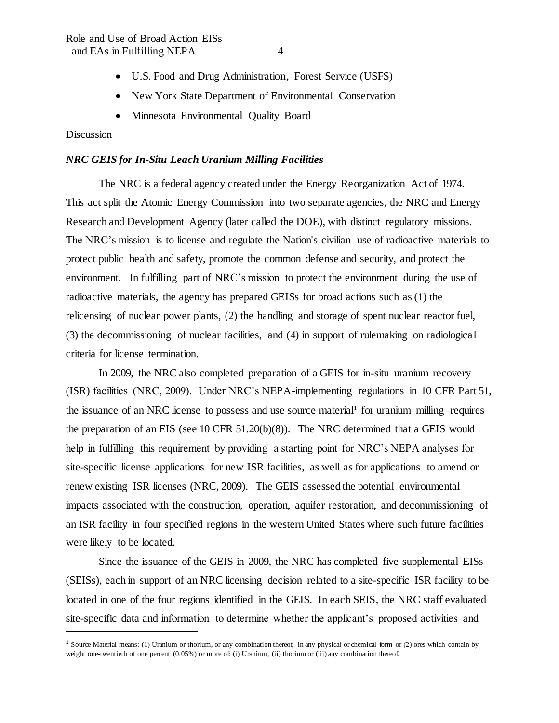- U.S. Food and Drug Administration, Forest Service (USFS)
- New York State Department of Environmental Conservation
- Minnesota Environmental Quality Board

# **Discussion**

I

#### *NRC GEIS for In-Situ Leach Uranium Milling Facilities*

The NRC is a federal agency created under the Energy Reorganization Act of 1974. This act split the Atomic Energy Commission into two separate agencies, the NRC and Energy Research and Development Agency (later called the DOE), with distinct regulatory missions. The NRC's mission is to license and regulate the Nation's civilian use of radioactive materials to protect public health and safety, promote the common defense and security, and protect the environment. In fulfilling part of NRC's mission to protect the environment during the use of radioactive materials, the agency has prepared GEISs for broad actions such as (1) the relicensing of nuclear power plants, (2) the handling and storage of spent nuclear reactor fuel, (3) the decommissioning of nuclear facilities, and (4) in support of rulemaking on radiological criteria for license termination.

In 2009, the NRC also completed preparation of a GEIS for in-situ uranium recovery (ISR) facilities (NRC, 2009). Under NRC's NEPA-implementing regulations in 10 CFR Part 51, the issuance of an NRC license to possess and use source material<sup>1</sup> for uranium milling requires the preparation of an EIS (see 10 CFR 51.20(b)(8)). The NRC determined that a GEIS would help in fulfilling this requirement by providing a starting point for NRC's NEPA analyses for site-specific license applications for new ISR facilities, as well as for applications to amend or renew existing ISR licenses (NRC, 2009). The GEIS assessed the potential environmental impacts associated with the construction, operation, aquifer restoration, and decommissioning of an ISR facility in four specified regions in the western United States where such future facilities were likely to be located.

Since the issuance of the GEIS in 2009, the NRC has completed five supplemental EISs (SEISs), each in support of an NRC licensing decision related to a site-specific ISR facility to be located in one of the four regions identified in the GEIS. In each SEIS, the NRC staff evaluated site-specific data and information to determine whether the applicant's proposed activities and

<sup>&</sup>lt;sup>1</sup> Source Material means: (1) Uranium or thorium, or any combination thereof, in any physical or chemical form or (2) ores which contain by weight one-twentieth of one percent (0.05%) or more of: (i) Uranium, (ii) thorium or (iii) any combination thereof.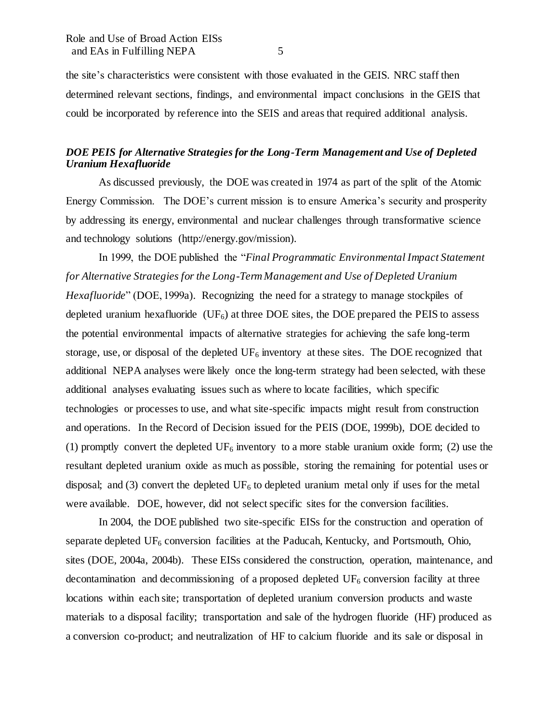the site's characteristics were consistent with those evaluated in the GEIS. NRC staff then determined relevant sections, findings, and environmental impact conclusions in the GEIS that could be incorporated by reference into the SEIS and areas that required additional analysis.

# *DOE PEIS for Alternative Strategies for the Long-Term Management and Use of Depleted Uranium Hexafluoride*

As discussed previously, the DOE was created in 1974 as part of the split of the Atomic Energy Commission. The DOE's current mission is to ensure America's security and prosperity by addressing its energy, environmental and nuclear challenges through transformative science and technology solutions (http://energy.gov/mission).

In 1999, the DOE published the "*Final Programmatic Environmental Impact Statement for Alternative Strategies for the Long-Term Management and Use of Depleted Uranium Hexafluoride*" (DOE, 1999a). Recognizing the need for a strategy to manage stockpiles of depleted uranium hexafluoride  $(UF_6)$  at three DOE sites, the DOE prepared the PEIS to assess the potential environmental impacts of alternative strategies for achieving the safe long-term storage, use, or disposal of the depleted  $UF_6$  inventory at these sites. The DOE recognized that additional NEPA analyses were likely once the long-term strategy had been selected, with these additional analyses evaluating issues such as where to locate facilities, which specific technologies or processes to use, and what site-specific impacts might result from construction and operations. In the Record of Decision issued for the PEIS (DOE, 1999b), DOE decided to (1) promptly convert the depleted  $UF_6$  inventory to a more stable uranium oxide form; (2) use the resultant depleted uranium oxide as much as possible, storing the remaining for potential uses or disposal; and (3) convert the depleted UF<sub>6</sub> to depleted uranium metal only if uses for the metal were available. DOE, however, did not select specific sites for the conversion facilities.

In 2004, the DOE published two site-specific EISs for the construction and operation of separate depleted  $UF_6$  conversion facilities at the Paducah, Kentucky, and Portsmouth, Ohio, sites (DOE, 2004a, 2004b). These EISs considered the construction, operation, maintenance, and decontamination and decommissioning of a proposed depleted  $UF_6$  conversion facility at three locations within each site; transportation of depleted uranium conversion products and waste materials to a disposal facility; transportation and sale of the hydrogen fluoride (HF) produced as a conversion co-product; and neutralization of HF to calcium fluoride and its sale or disposal in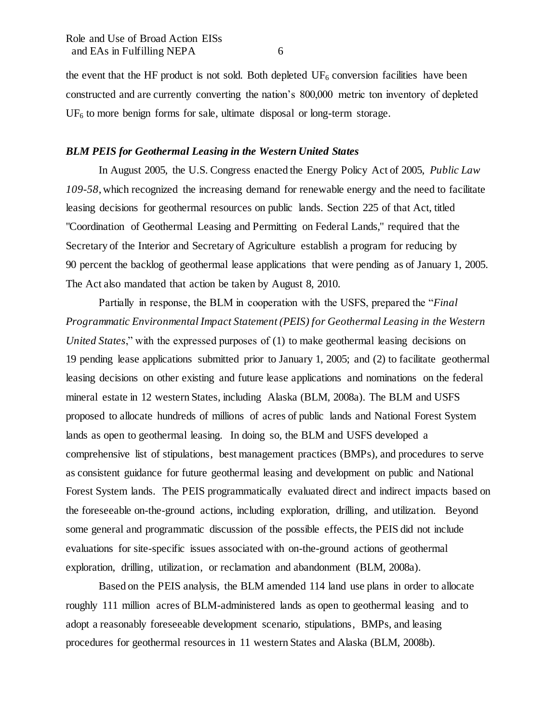the event that the HF product is not sold. Both depleted  $UF_6$  conversion facilities have been constructed and are currently converting the nation's 800,000 metric ton inventory of depleted  $UF<sub>6</sub>$  to more benign forms for sale, ultimate disposal or long-term storage.

### *BLM PEIS for Geothermal Leasing in the Western United States*

In August 2005, the U.S. Congress enacted the Energy Policy Act of 2005, *Public Law 109-58*, which recognized the increasing demand for renewable energy and the need to facilitate leasing decisions for geothermal resources on public lands. Section 225 of that Act, titled "Coordination of Geothermal Leasing and Permitting on Federal Lands," required that the Secretary of the Interior and Secretary of Agriculture establish a program for reducing by 90 percent the backlog of geothermal lease applications that were pending as of January 1, 2005. The Act also mandated that action be taken by August 8, 2010.

Partially in response, the BLM in cooperation with the USFS, prepared the "*Final Programmatic Environmental Impact Statement (PEIS) for Geothermal Leasing in the Western United States*," with the expressed purposes of (1) to make geothermal leasing decisions on 19 pending lease applications submitted prior to January 1, 2005; and (2) to facilitate geothermal leasing decisions on other existing and future lease applications and nominations on the federal mineral estate in 12 western States, including Alaska (BLM, 2008a). The BLM and USFS proposed to allocate hundreds of millions of acres of public lands and National Forest System lands as open to geothermal leasing. In doing so, the BLM and USFS developed a comprehensive list of stipulations, best management practices (BMPs), and procedures to serve as consistent guidance for future geothermal leasing and development on public and National Forest System lands. The PEIS programmatically evaluated direct and indirect impacts based on the foreseeable on-the-ground actions, including exploration, drilling, and utilization. Beyond some general and programmatic discussion of the possible effects, the PEIS did not include evaluations for site-specific issues associated with on-the-ground actions of geothermal exploration, drilling, utilization, or reclamation and abandonment (BLM, 2008a).

Based on the PEIS analysis, the BLM amended 114 land use plans in order to allocate roughly 111 million acres of BLM-administered lands as open to geothermal leasing and to adopt a reasonably foreseeable development scenario, stipulations, BMPs, and leasing procedures for geothermal resources in 11 western States and Alaska (BLM, 2008b).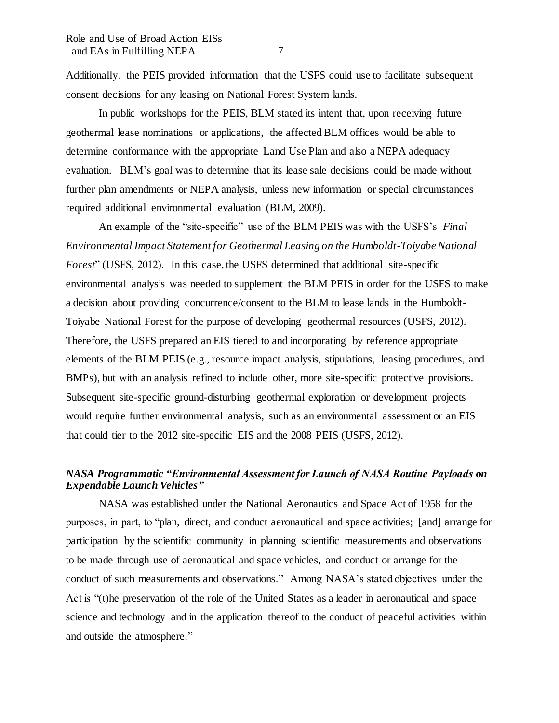Additionally, the PEIS provided information that the USFS could use to facilitate subsequent consent decisions for any leasing on National Forest System lands.

In public workshops for the PEIS, BLM stated its intent that, upon receiving future geothermal lease nominations or applications, the affected BLM offices would be able to determine conformance with the appropriate Land Use Plan and also a NEPA adequacy evaluation. BLM's goal was to determine that its lease sale decisions could be made without further plan amendments or NEPA analysis, unless new information or special circumstances required additional environmental evaluation (BLM, 2009).

An example of the "site-specific" use of the BLM PEIS was with the USFS's *Final Environmental Impact Statement for Geothermal Leasing on the Humboldt-Toiyabe National Forest*" (USFS, 2012). In this case, the USFS determined that additional site-specific environmental analysis was needed to supplement the BLM PEIS in order for the USFS to make a decision about providing concurrence/consent to the BLM to lease lands in the Humboldt-Toiyabe National Forest for the purpose of developing geothermal resources (USFS, 2012). Therefore, the USFS prepared an EIS tiered to and incorporating by reference appropriate elements of the BLM PEIS (e.g., resource impact analysis, stipulations, leasing procedures, and BMPs), but with an analysis refined to include other, more site-specific protective provisions. Subsequent site-specific ground-disturbing geothermal exploration or development projects would require further environmental analysis, such as an environmental assessment or an EIS that could tier to the 2012 site-specific EIS and the 2008 PEIS (USFS, 2012).

# *NASA Programmatic "Environmental Assessment for Launch of NASA Routine Payloads on Expendable Launch Vehicles"*

NASA was established under the National Aeronautics and Space Act of 1958 for the purposes, in part, to "plan, direct, and conduct aeronautical and space activities; [and] arrange for participation by the scientific community in planning scientific measurements and observations to be made through use of aeronautical and space vehicles, and conduct or arrange for the conduct of such measurements and observations." Among NASA's stated objectives under the Act is "(t)he preservation of the role of the United States as a leader in aeronautical and space science and technology and in the application thereof to the conduct of peaceful activities within and outside the atmosphere."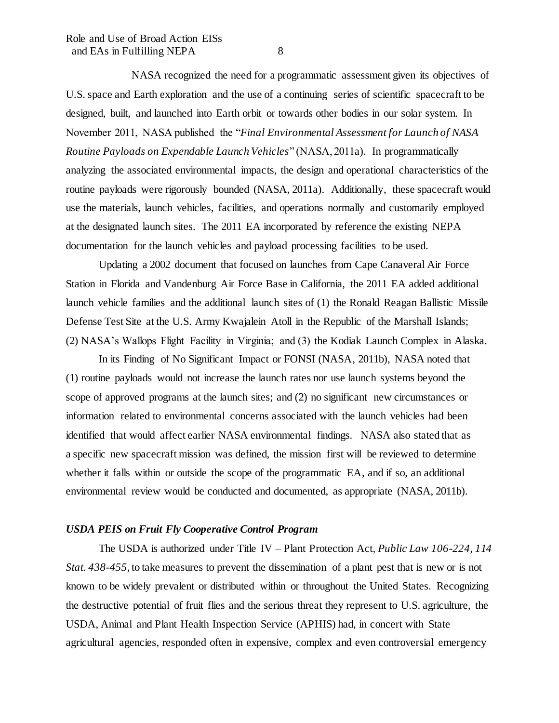NASA recognized the need for a programmatic assessment given its objectives of U.S. space and Earth exploration and the use of a continuing series of scientific spacecraft to be designed, built, and launched into Earth orbit or towards other bodies in our solar system. In November 2011, NASA published the "*Final Environmental Assessment for Launch of NASA Routine Payloads on Expendable Launch Vehicles*" (NASA, 2011a). In programmatically analyzing the associated environmental impacts, the design and operational characteristics of the routine payloads were rigorously bounded (NASA, 2011a). Additionally, these spacecraft would use the materials, launch vehicles, facilities, and operations normally and customarily employed at the designated launch sites. The 2011 EA incorporated by reference the existing NEPA documentation for the launch vehicles and payload processing facilities to be used.

Updating a 2002 document that focused on launches from Cape Canaveral Air Force Station in Florida and Vandenburg Air Force Base in California, the 2011 EA added additional launch vehicle families and the additional launch sites of (1) the Ronald Reagan Ballistic Missile Defense Test Site at the U.S. Army Kwajalein Atoll in the Republic of the Marshall Islands; (2) NASA's Wallops Flight Facility in Virginia; and (3) the Kodiak Launch Complex in Alaska.

In its Finding of No Significant Impact or FONSI (NASA, 2011b), NASA noted that (1) routine payloads would not increase the launch rates nor use launch systems beyond the scope of approved programs at the launch sites; and (2) no significant new circumstances or information related to environmental concerns associated with the launch vehicles had been identified that would affect earlier NASA environmental findings. NASA also stated that as a specific new spacecraft mission was defined, the mission first will be reviewed to determine whether it falls within or outside the scope of the programmatic EA, and if so, an additional environmental review would be conducted and documented, as appropriate (NASA, 2011b).

# *USDA PEIS on Fruit Fly Cooperative Control Program*

The USDA is authorized under Title IV – Plant Protection Act, *Public Law 106-224, 114 Stat. 438-455*, to take measures to prevent the dissemination of a plant pest that is new or is not known to be widely prevalent or distributed within or throughout the United States. Recognizing the destructive potential of fruit flies and the serious threat they represent to U.S. agriculture, the USDA, Animal and Plant Health Inspection Service (APHIS) had, in concert with State agricultural agencies, responded often in expensive, complex and even controversial emergency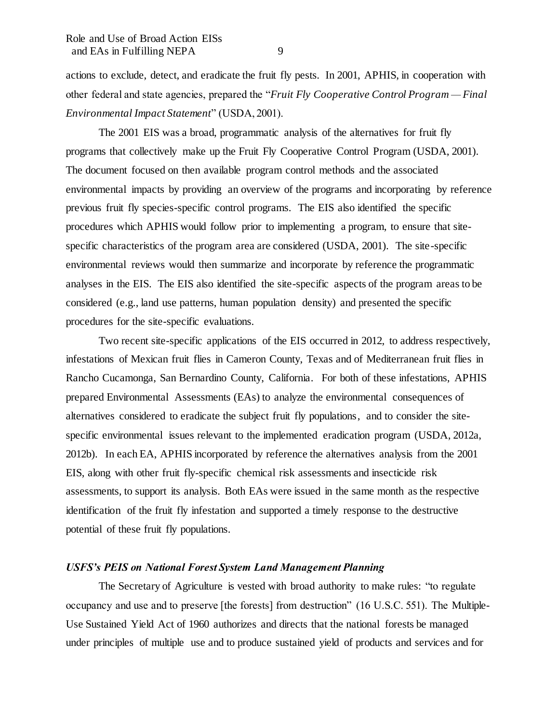actions to exclude, detect, and eradicate the fruit fly pests. In 2001, APHIS, in cooperation with other federal and state agencies, prepared the "*Fruit Fly Cooperative Control Program — Final Environmental Impact Statement*" (USDA, 2001).

The 2001 EIS was a broad, programmatic analysis of the alternatives for fruit fly programs that collectively make up the Fruit Fly Cooperative Control Program (USDA, 2001). The document focused on then available program control methods and the associated environmental impacts by providing an overview of the programs and incorporating by reference previous fruit fly species-specific control programs. The EIS also identified the specific procedures which APHIS would follow prior to implementing a program, to ensure that sitespecific characteristics of the program area are considered (USDA, 2001). The site-specific environmental reviews would then summarize and incorporate by reference the programmatic analyses in the EIS. The EIS also identified the site-specific aspects of the program areas to be considered (e.g., land use patterns, human population density) and presented the specific procedures for the site-specific evaluations.

Two recent site-specific applications of the EIS occurred in 2012, to address respectively, infestations of Mexican fruit flies in Cameron County, Texas and of Mediterranean fruit flies in Rancho Cucamonga, San Bernardino County, California. For both of these infestations, APHIS prepared Environmental Assessments (EAs) to analyze the environmental consequences of alternatives considered to eradicate the subject fruit fly populations, and to consider the sitespecific environmental issues relevant to the implemented eradication program (USDA, 2012a, 2012b). In each EA, APHIS incorporated by reference the alternatives analysis from the 2001 EIS, along with other fruit fly-specific chemical risk assessments and insecticide risk assessments, to support its analysis. Both EAs were issued in the same month as the respective identification of the fruit fly infestation and supported a timely response to the destructive potential of these fruit fly populations.

### *USFS's PEIS on National Forest System Land Management Planning*

The Secretary of Agriculture is vested with broad authority to make rules: "to regulate occupancy and use and to preserve [the forests] from destruction" (16 U.S.C. 551). The Multiple-Use Sustained Yield Act of 1960 authorizes and directs that the national forests be managed under principles of multiple use and to produce sustained yield of products and services and for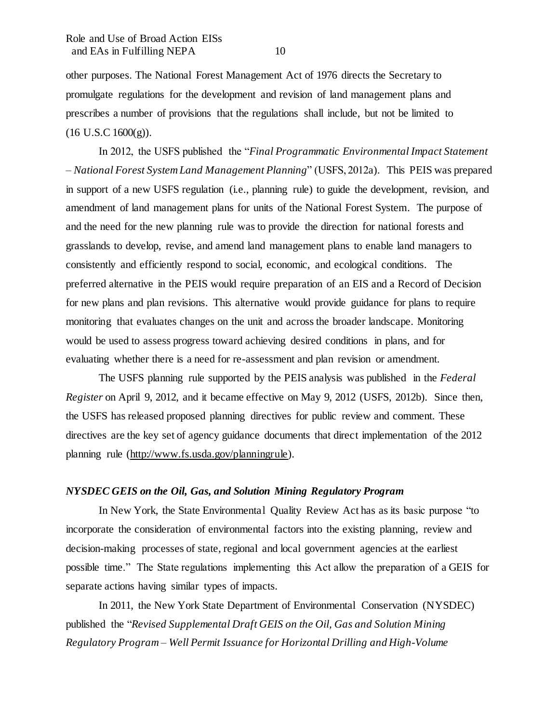other purposes. The National Forest Management Act of 1976 directs the Secretary to promulgate regulations for the development and revision of land management plans and prescribes a number of provisions that the regulations shall include, but not be limited to  $(16 \text{ U.S. C } 1600 \text{ (g)}).$ 

In 2012, the USFS published the "*Final Programmatic Environmental Impact Statement – National Forest System Land Management Planning*" (USFS, 2012a). This PEIS was prepared in support of a new USFS regulation (i.e., planning rule) to guide the development, revision, and amendment of land management plans for units of the National Forest System. The purpose of and the need for the new planning rule was to provide the direction for national forests and grasslands to develop, revise, and amend land management plans to enable land managers to consistently and efficiently respond to social, economic, and ecological conditions. The preferred alternative in the PEIS would require preparation of an EIS and a Record of Decision for new plans and plan revisions. This alternative would provide guidance for plans to require monitoring that evaluates changes on the unit and across the broader landscape. Monitoring would be used to assess progress toward achieving desired conditions in plans, and for evaluating whether there is a need for re-assessment and plan revision or amendment.

The USFS planning rule supported by the PEIS analysis was published in the *Federal Register* on April 9, 2012, and it became effective on May 9, 2012 (USFS, 2012b). Since then, the USFS has released proposed planning directives for public review and comment. These directives are the key set of agency guidance documents that direct implementation of the 2012 planning rule (http://www.fs.usda.gov/planningrule).

## *NYSDEC GEIS on the Oil, Gas, and Solution Mining Regulatory Program*

In New York, the State Environmental Quality Review Act has as its basic purpose "to incorporate the consideration of environmental factors into the existing planning, review and decision-making processes of state, regional and local government agencies at the earliest possible time." The State regulations implementing this Act allow the preparation of a GEIS for separate actions having similar types of impacts.

In 2011, the New York State Department of Environmental Conservation (NYSDEC) published the "*Revised Supplemental Draft GEIS on the Oil, Gas and Solution Mining Regulatory Program – Well Permit Issuance for Horizontal Drilling and High-Volume*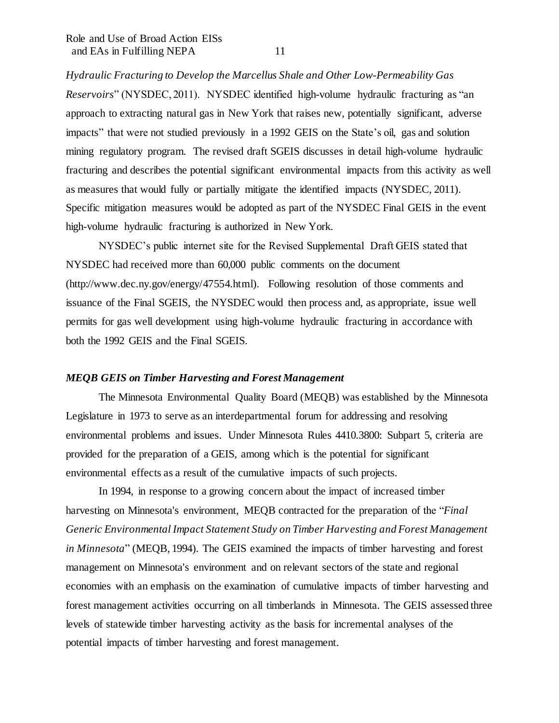*Hydraulic Fracturing to Develop the Marcellus Shale and Other Low-Permeability Gas Reservoirs*" (NYSDEC, 2011). NYSDEC identified high-volume hydraulic fracturing as "an approach to extracting natural gas in New York that raises new, potentially significant, adverse impacts" that were not studied previously in a 1992 GEIS on the State's oil, gas and solution mining regulatory program. The revised draft SGEIS discusses in detail high-volume hydraulic fracturing and describes the potential significant environmental impacts from this activity as well as measures that would fully or partially mitigate the identified impacts (NYSDEC, 2011). Specific mitigation measures would be adopted as part of the NYSDEC Final GEIS in the event high-volume hydraulic fracturing is authorized in New York.

NYSDEC's public internet site for the Revised Supplemental Draft GEIS stated that NYSDEC had received more than 60,000 public comments on the document (http://www.dec.ny.gov/energy/47554.html). Following resolution of those comments and issuance of the Final SGEIS, the NYSDEC would then process and, as appropriate, issue well permits for gas well development using high-volume hydraulic fracturing in accordance with both the 1992 GEIS and the Final SGEIS.

#### *MEQB GEIS on Timber Harvesting and Forest Management*

The Minnesota Environmental Quality Board (MEQB) was established by the Minnesota Legislature in 1973 to serve as an interdepartmental forum for addressing and resolving environmental problems and issues. Under Minnesota Rules 4410.3800: Subpart 5, criteria are provided for the preparation of a GEIS, among which is the potential for significant environmental effects as a result of the cumulative impacts of such projects.

In 1994, in response to a growing concern about the impact of increased timber harvesting on Minnesota's environment, MEQB contracted for the preparation of the "*Final Generic Environmental Impact Statement Study on Timber Harvesting and Forest Management in Minnesota*" (MEQB, 1994). The GEIS examined the impacts of timber harvesting and forest management on Minnesota's environment and on relevant sectors of the state and regional economies with an emphasis on the examination of cumulative impacts of timber harvesting and forest management activities occurring on all timberlands in Minnesota. The GEIS assessed three levels of statewide timber harvesting activity as the basis for incremental analyses of the potential impacts of timber harvesting and forest management.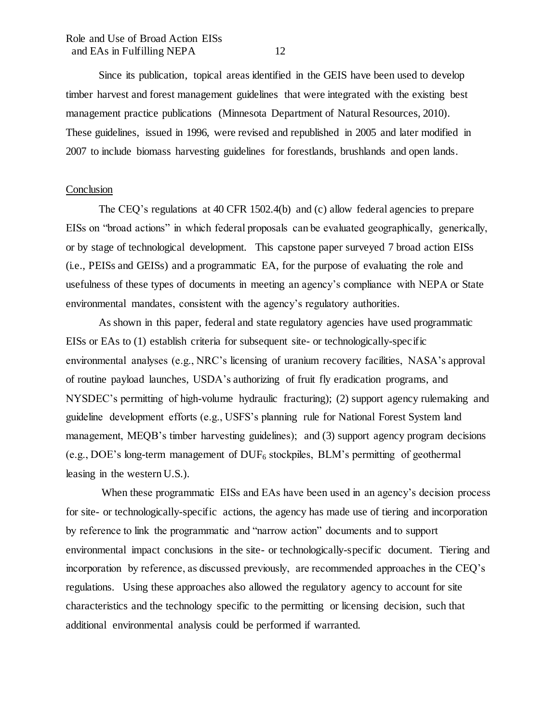Since its publication, topical areas identified in the GEIS have been used to develop timber harvest and forest management guidelines that were integrated with the existing best management practice publications (Minnesota Department of Natural Resources, 2010). These guidelines, issued in 1996, were revised and republished in 2005 and later modified in 2007 to include biomass harvesting guidelines for forestlands, brushlands and open lands.

#### **Conclusion**

The CEQ's regulations at 40 CFR 1502.4(b) and (c) allow federal agencies to prepare EISs on "broad actions" in which federal proposals can be evaluated geographically, generically, or by stage of technological development. This capstone paper surveyed 7 broad action EISs (i.e., PEISs and GEISs) and a programmatic EA, for the purpose of evaluating the role and usefulness of these types of documents in meeting an agency's compliance with NEPA or State environmental mandates, consistent with the agency's regulatory authorities.

As shown in this paper, federal and state regulatory agencies have used programmatic EISs or EAs to (1) establish criteria for subsequent site- or technologically-specific environmental analyses (e.g., NRC's licensing of uranium recovery facilities, NASA's approval of routine payload launches, USDA's authorizing of fruit fly eradication programs, and NYSDEC's permitting of high-volume hydraulic fracturing); (2) support agency rulemaking and guideline development efforts (e.g., USFS's planning rule for National Forest System land management, MEQB's timber harvesting guidelines); and (3) support agency program decisions (e.g., DOE's long-term management of  $DUF_6$  stockpiles, BLM's permitting of geothermal leasing in the western U.S.).

When these programmatic EISs and EAs have been used in an agency's decision process for site- or technologically-specific actions, the agency has made use of tiering and incorporation by reference to link the programmatic and "narrow action" documents and to support environmental impact conclusions in the site- or technologically-specific document. Tiering and incorporation by reference, as discussed previously, are recommended approaches in the CEQ's regulations. Using these approaches also allowed the regulatory agency to account for site characteristics and the technology specific to the permitting or licensing decision, such that additional environmental analysis could be performed if warranted.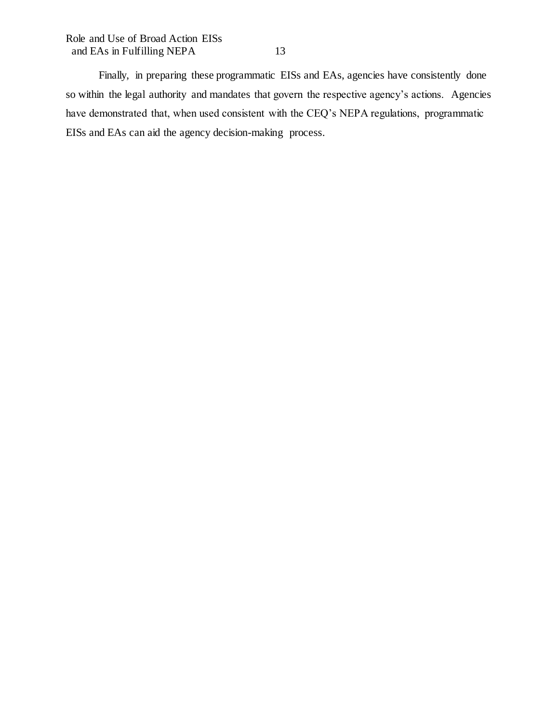Finally, in preparing these programmatic EISs and EAs, agencies have consistently done so within the legal authority and mandates that govern the respective agency's actions. Agencies have demonstrated that, when used consistent with the CEQ's NEPA regulations, programmatic EISs and EAs can aid the agency decision-making process.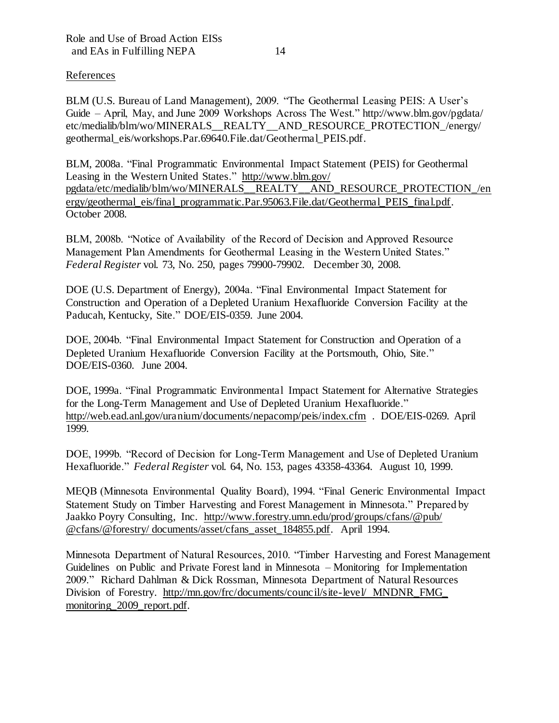# References

BLM (U.S. Bureau of Land Management), 2009. "The Geothermal Leasing PEIS: A User's Guide – April, May, and June 2009 Workshops Across The West." http://www.blm.gov/pgdata/ etc/medialib/blm/wo/MINERALS\_\_REALTY\_\_AND\_RESOURCE\_PROTECTION\_/energy/ geothermal\_eis/workshops.Par.69640.File.dat/Geothermal\_PEIS.pdf.

BLM, 2008a. "Final Programmatic Environmental Impact Statement (PEIS) for Geothermal Leasing in the Western United States." http://www.blm.gov/ pgdata/etc/medialib/blm/wo/MINERALS\_\_REALTY\_\_AND\_RESOURCE\_PROTECTION\_/en ergy/geothermal\_eis/final\_programmatic.Par.95063.File.dat/Geothermal\_PEIS\_final.pdf. October 2008.

BLM, 2008b. "Notice of Availability of the Record of Decision and Approved Resource Management Plan Amendments for Geothermal Leasing in the Western United States." *Federal Register* vol. 73, No. 250, pages 79900-79902. December 30, 2008.

DOE (U.S. Department of Energy), 2004a. "Final Environmental Impact Statement for Construction and Operation of a Depleted Uranium Hexafluoride Conversion Facility at the Paducah, Kentucky, Site." DOE/EIS-0359. June 2004.

DOE, 2004b. "Final Environmental Impact Statement for Construction and Operation of a Depleted Uranium Hexafluoride Conversion Facility at the Portsmouth, Ohio, Site." DOE/EIS-0360. June 2004.

DOE, 1999a. "Final Programmatic Environmental Impact Statement for Alternative Strategies for the Long-Term Management and Use of Depleted Uranium Hexafluoride." http://web.ead.anl.gov/uranium/documents/nepacomp/peis/index.cfm . DOE/EIS-0269. April 1999.

DOE, 1999b. "Record of Decision for Long-Term Management and Use of Depleted Uranium Hexafluoride." *Federal Register* vol. 64, No. 153, pages 43358-43364. August 10, 1999.

MEQB (Minnesota Environmental Quality Board), 1994. "Final Generic Environmental Impact Statement Study on Timber Harvesting and Forest Management in Minnesota." Prepared by Jaakko Poyry Consulting, Inc. http://www.forestry.umn.edu/prod/groups/cfans/@pub/ @cfans/@forestry/ documents/asset/cfans\_asset\_184855.pdf. April 1994.

Minnesota Department of Natural Resources, 2010. "Timber Harvesting and Forest Management Guidelines on Public and Private Forest land in Minnesota – Monitoring for Implementation 2009." Richard Dahlman & Dick Rossman, Minnesota Department of Natural Resources Division of Forestry. http://mn.gov/frc/documents/council/site-level/ MNDNR\_FMG\_ monitoring 2009 report.pdf.